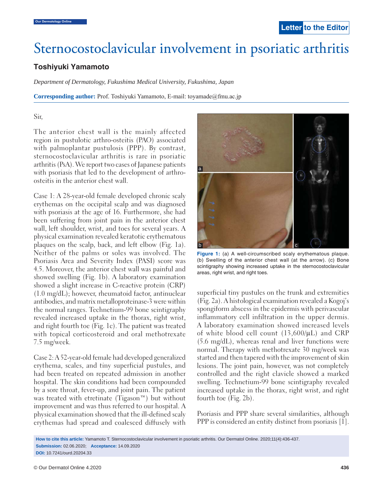# Sternocostoclavicular involvement in psoriatic arthritis

## **Toshiyuki Yamamoto**

*Department of Dermatology, Fukushima Medical University, Fukushima, Japan*

**Corresponding author:** Prof. Toshiyuki Yamamoto, E-mail: toyamade@fmu.ac.jp

#### Sir,

The anterior chest wall is the mainly affected region in pustulotic arthro-osteitis (PAO) associated with palmoplantar pustulosis (PPP). By contrast, sternocostoclavicular arthritis is rare in psoriatic arthritis (PsA). We report two cases of Japanese patients with psoriasis that led to the development of arthroosteitis in the anterior chest wall.

Case 1: A 28-year-old female developed chronic scaly erythemas on the occipital scalp and was diagnosed with psoriasis at the age of 16. Furthermore, she had been suffering from joint pain in the anterior chest wall, left shoulder, wrist, and toes for several years. A physical examination revealed keratotic erythematous plaques on the scalp, back, and left elbow (Fig. 1a). Neither of the palms or soles was involved. The Psoriasis Area and Severity Index (PASI) score was 4.5. Moreover, the anterior chest wall was painful and showed swelling (Fig. 1b). A laboratory examination showed a slight increase in C-reactive protein (CRP) (1.0 mg/dL); however, rheumatoid factor, antinuclear antibodies, and matrix metalloproteinase-3 were within the normal ranges. Technetium-99 bone scintigraphy revealed increased uptake in the thorax, right wrist, and right fourth toe (Fig. 1c). The patient was treated with topical corticosteroid and oral methotrexate 7.5 mg/week.

Case 2: A 52-year-old female had developed generalized erythema, scales, and tiny superficial pustules, and had been treated on repeated admission in another hospital. The skin conditions had been compounded by a sore throat, fever-up, and joint pain. The patient was treated with etretinate (Tigason™) but without improvement and was thus referred to our hospital. A physical examination showed that the ill-defined scaly erythemas had spread and coalesced diffusely with



**Figure 1:** (a) A well-circumscribed scaly erythematous plaque. (b) Swelling of the anterior chest wall (at the arrow). (c) Bone scintigraphy showing increased uptake in the sternocostoclavicular areas, right wrist, and right toes.

superficial tiny pustules on the trunk and extremities (Fig. 2a). A histological examination revealed a Kogoj's spongiform abscess in the epidermis with perivascular inflammatory cell infiltration in the upper dermis. A laboratory examination showed increased levels of white blood cell count (13,600/μL) and CRP (5.6 mg/dL), whereas renal and liver functions were normal. Therapy with methotrexate 30 mg/week was started and then tapered with the improvement of skin lesions. The joint pain, however, was not completely controlled and the right clavicle showed a marked swelling. Technetium-99 bone scintigraphy revealed increased uptake in the thorax, right wrist, and right fourth toe (Fig. 2b).

Psoriasis and PPP share several similarities, although PPP is considered an entity distinct from psoriasis [1].

**How to cite this article:** Yamamoto T. Sternocostoclavicular involvement in psoriatic arthritis. Our Dermatol Online. 2020;11(4):436-437. **Submission:** 02.06.2020; **Acceptance:** 14.09.2020 **DOI:** 10.7241/ourd.20204.33